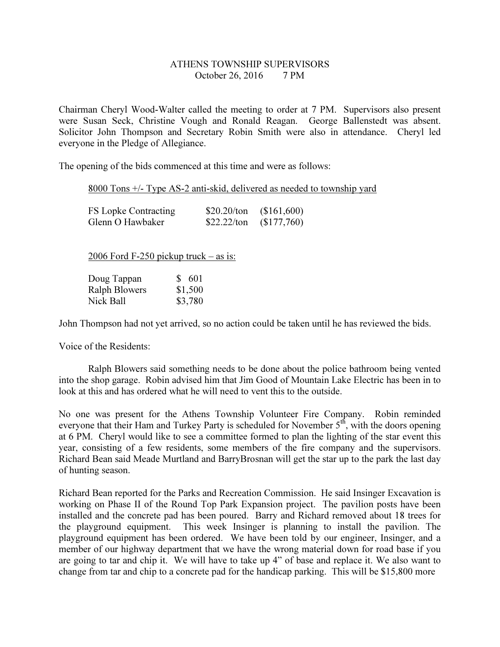## ATHENS TOWNSHIP SUPERVISORS October 26, 2016 7 PM

Chairman Cheryl Wood-Walter called the meeting to order at 7 PM. Supervisors also present were Susan Seck, Christine Vough and Ronald Reagan. George Ballenstedt was absent. Solicitor John Thompson and Secretary Robin Smith were also in attendance. Cheryl led everyone in the Pledge of Allegiance.

The opening of the bids commenced at this time and were as follows:

## 8000 Tons +/- Type AS-2 anti-skid, delivered as needed to township yard

| FS Lopke Contracting | $$20.20$ /ton | (\$161,600) |
|----------------------|---------------|-------------|
| Glenn O Hawbaker     | \$22.22/ton   | (\$177,760) |

2006 Ford F-250 pickup truck – as is:

| Doug Tappan   | \$ 601  |
|---------------|---------|
| Ralph Blowers | \$1,500 |
| Nick Ball     | \$3,780 |

John Thompson had not yet arrived, so no action could be taken until he has reviewed the bids.

Voice of the Residents:

 Ralph Blowers said something needs to be done about the police bathroom being vented into the shop garage. Robin advised him that Jim Good of Mountain Lake Electric has been in to look at this and has ordered what he will need to vent this to the outside.

No one was present for the Athens Township Volunteer Fire Company. Robin reminded everyone that their Ham and Turkey Party is scheduled for November 5<sup>th</sup>, with the doors opening at 6 PM. Cheryl would like to see a committee formed to plan the lighting of the star event this year, consisting of a few residents, some members of the fire company and the supervisors. Richard Bean said Meade Murtland and BarryBrosnan will get the star up to the park the last day of hunting season.

Richard Bean reported for the Parks and Recreation Commission. He said Insinger Excavation is working on Phase II of the Round Top Park Expansion project. The pavilion posts have been installed and the concrete pad has been poured. Barry and Richard removed about 18 trees for the playground equipment. This week Insinger is planning to install the pavilion. The playground equipment has been ordered. We have been told by our engineer, Insinger, and a member of our highway department that we have the wrong material down for road base if you are going to tar and chip it. We will have to take up 4" of base and replace it. We also want to change from tar and chip to a concrete pad for the handicap parking. This will be \$15,800 more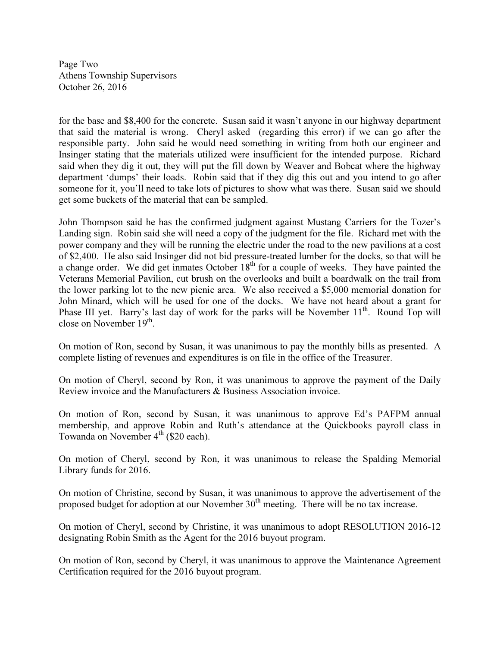Page Two Athens Township Supervisors October 26, 2016

for the base and \$8,400 for the concrete. Susan said it wasn't anyone in our highway department that said the material is wrong. Cheryl asked (regarding this error) if we can go after the responsible party. John said he would need something in writing from both our engineer and Insinger stating that the materials utilized were insufficient for the intended purpose. Richard said when they dig it out, they will put the fill down by Weaver and Bobcat where the highway department 'dumps' their loads. Robin said that if they dig this out and you intend to go after someone for it, you'll need to take lots of pictures to show what was there. Susan said we should get some buckets of the material that can be sampled.

John Thompson said he has the confirmed judgment against Mustang Carriers for the Tozer's Landing sign. Robin said she will need a copy of the judgment for the file. Richard met with the power company and they will be running the electric under the road to the new pavilions at a cost of \$2,400. He also said Insinger did not bid pressure-treated lumber for the docks, so that will be a change order. We did get inmates October  $18<sup>th</sup>$  for a couple of weeks. They have painted the Veterans Memorial Pavilion, cut brush on the overlooks and built a boardwalk on the trail from the lower parking lot to the new picnic area. We also received a \$5,000 memorial donation for John Minard, which will be used for one of the docks. We have not heard about a grant for Phase III yet. Barry's last day of work for the parks will be November  $11<sup>th</sup>$ . Round Top will close on November  $19<sup>th</sup>$ .

On motion of Ron, second by Susan, it was unanimous to pay the monthly bills as presented. A complete listing of revenues and expenditures is on file in the office of the Treasurer.

On motion of Cheryl, second by Ron, it was unanimous to approve the payment of the Daily Review invoice and the Manufacturers & Business Association invoice.

On motion of Ron, second by Susan, it was unanimous to approve Ed's PAFPM annual membership, and approve Robin and Ruth's attendance at the Quickbooks payroll class in Towanda on November  $4<sup>th</sup>$  (\$20 each).

On motion of Cheryl, second by Ron, it was unanimous to release the Spalding Memorial Library funds for 2016.

On motion of Christine, second by Susan, it was unanimous to approve the advertisement of the proposed budget for adoption at our November 30<sup>th</sup> meeting. There will be no tax increase.

On motion of Cheryl, second by Christine, it was unanimous to adopt RESOLUTION 2016-12 designating Robin Smith as the Agent for the 2016 buyout program.

On motion of Ron, second by Cheryl, it was unanimous to approve the Maintenance Agreement Certification required for the 2016 buyout program.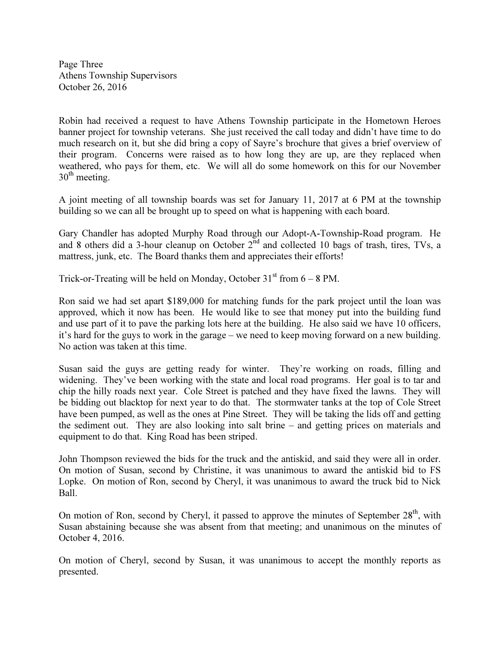Page Three Athens Township Supervisors October 26, 2016

Robin had received a request to have Athens Township participate in the Hometown Heroes banner project for township veterans. She just received the call today and didn't have time to do much research on it, but she did bring a copy of Sayre's brochure that gives a brief overview of their program. Concerns were raised as to how long they are up, are they replaced when weathered, who pays for them, etc. We will all do some homework on this for our November  $30<sup>th</sup>$  meeting.

A joint meeting of all township boards was set for January 11, 2017 at 6 PM at the township building so we can all be brought up to speed on what is happening with each board.

Gary Chandler has adopted Murphy Road through our Adopt-A-Township-Road program. He and 8 others did a 3-hour cleanup on October 2<sup>nd</sup> and collected 10 bags of trash, tires, TVs, a mattress, junk, etc. The Board thanks them and appreciates their efforts!

Trick-or-Treating will be held on Monday, October  $31<sup>st</sup>$  from 6 – 8 PM.

Ron said we had set apart \$189,000 for matching funds for the park project until the loan was approved, which it now has been. He would like to see that money put into the building fund and use part of it to pave the parking lots here at the building. He also said we have 10 officers, it's hard for the guys to work in the garage – we need to keep moving forward on a new building. No action was taken at this time.

Susan said the guys are getting ready for winter. They're working on roads, filling and widening. They've been working with the state and local road programs. Her goal is to tar and chip the hilly roads next year. Cole Street is patched and they have fixed the lawns. They will be bidding out blacktop for next year to do that. The stormwater tanks at the top of Cole Street have been pumped, as well as the ones at Pine Street. They will be taking the lids off and getting the sediment out. They are also looking into salt brine – and getting prices on materials and equipment to do that. King Road has been striped.

John Thompson reviewed the bids for the truck and the antiskid, and said they were all in order. On motion of Susan, second by Christine, it was unanimous to award the antiskid bid to FS Lopke. On motion of Ron, second by Cheryl, it was unanimous to award the truck bid to Nick Ball.

On motion of Ron, second by Cheryl, it passed to approve the minutes of September  $28<sup>th</sup>$ , with Susan abstaining because she was absent from that meeting; and unanimous on the minutes of October 4, 2016.

On motion of Cheryl, second by Susan, it was unanimous to accept the monthly reports as presented.